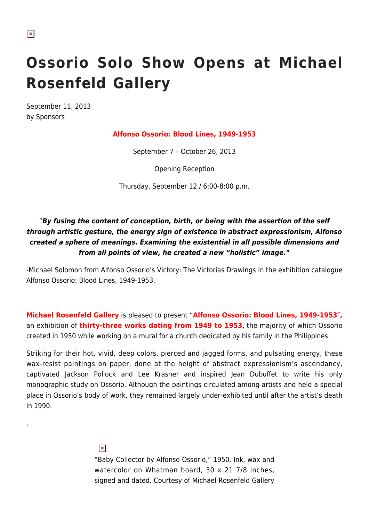## **Ossorio Solo Show Opens at Michael Rosenfeld Gallery**

September 11, 2013 by Sponsors

## **Alfonso Ossorio: Blood Lines, 1949-1953**

September 7 – October 26, 2013

Opening Reception

Thursday, September 12 / 6:00-8:00 p.m.

## "*By fusing the content of conception, birth, or being with the assertion of the self through artistic gesture, the energy sign of existence in abstract expressionism, Alfonso created a sphere of meanings. Examining the existential in all possible dimensions and from all points of view, he created a new "holistic" image.***"**

-Michael Solomon from Alfonso Ossorio's Victory: The Victorias Drawings in the exhibition catalogue Alfonso Ossorio: Blood Lines, 1949-1953.

**Michael Rosenfeld Gallery** is pleased to present "**Alfonso Ossorio: Blood Lines, 1949-1953″,** an exhibition of **thirty-three works dating from 1949 to 1953**, the majority of which Ossorio created in 1950 while working on a mural for a church dedicated by his family in the Philippines.

Striking for their hot, vivid, deep colors, pierced and jagged forms, and pulsating energy, these wax-resist paintings on paper, done at the height of abstract expressionism's ascendancy, captivated Jackson Pollock and Lee Krasner and inspired Jean Dubuffet to write his only monographic study on Ossorio. Although the paintings circulated among artists and held a special place in Ossorio's body of work, they remained largely under-exhibited until after the artist's death in 1990.

 $\pmb{\times}$ 

.

"Baby Collector by Alfonso Ossorio," 1950. Ink, wax and watercolor on Whatman board, 30 x 21 7/8 inches, signed and dated. Courtesy of Michael Rosenfeld Gallery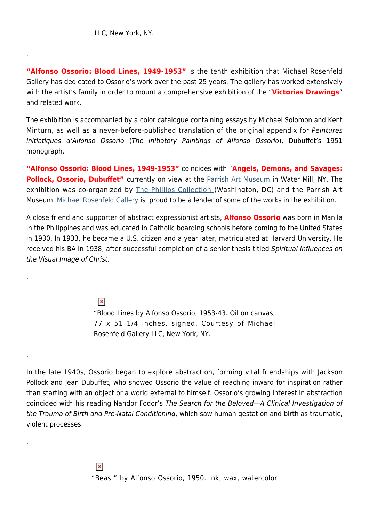.

.

.

.

**"Alfonso Ossorio: Blood Lines, 1949-1953"** is the tenth exhibition that Michael Rosenfeld Gallery has dedicated to Ossorio's work over the past 25 years. The gallery has worked extensively with the artist's family in order to mount a comprehensive exhibition of the "**Victorias Drawings**" and related work.

The exhibition is accompanied by a color catalogue containing essays by Michael Solomon and Kent Minturn, as well as a never-before-published translation of the original appendix for Peintures initiatiques d'Alfonso Ossorio (The Initiatory Paintings of Alfonso Ossorio), Dubuffet's 1951 monograph.

**"Alfonso Ossorio: Blood Lines, 1949-1953"** coincides with "**Angels, Demons, and Savages: Pollock, Ossorio, Dubuffet"** currently on view at the [Parrish Art Museum](http://parrishart.org/) in Water Mill, NY. The exhibition was co-organized by [The Phillips Collection \(](http://www.phillipscollection.org/index.aspx)Washington, DC) and the Parrish Art Museum. [Michael Rosenfeld Gallery](http://www.michaelrosenfeldart.com/) is proud to be a lender of some of the works in the exhibition.

A close friend and supporter of abstract expressionist artists, **Alfonso Ossorio** was born in Manila in the Philippines and was educated in Catholic boarding schools before coming to the United States in 1930. In 1933, he became a U.S. citizen and a year later, matriculated at Harvard University. He received his BA in 1938, after successful completion of a senior thesis titled Spiritual Influences on the Visual Image of Christ.

> $\pmb{\times}$ "Blood Lines by Alfonso Ossorio, 1953-43. Oil on canvas, 77 x 51 1/4 inches, signed. Courtesy of Michael Rosenfeld Gallery LLC, New York, NY.

In the late 1940s, Ossorio began to explore abstraction, forming vital friendships with Jackson Pollock and Jean Dubuffet, who showed Ossorio the value of reaching inward for inspiration rather than starting with an object or a world external to himself. Ossorio's growing interest in abstraction coincided with his reading Nandor Fodor's The Search for the Beloved—A Clinical Investigation of the Trauma of Birth and Pre-Natal Conditioning, which saw human gestation and birth as traumatic, violent processes.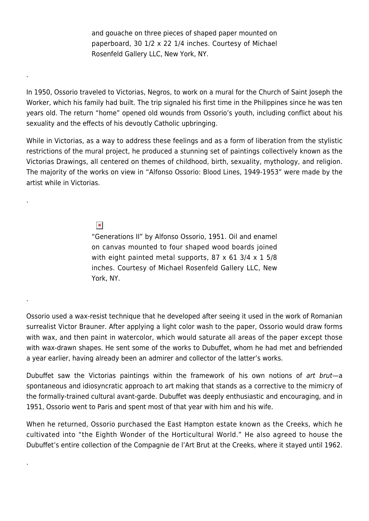and gouache on three pieces of shaped paper mounted on paperboard, 30 1/2 x 22 1/4 inches. Courtesy of Michael Rosenfeld Gallery LLC, New York, NY.

In 1950, Ossorio traveled to Victorias, Negros, to work on a mural for the Church of Saint Joseph the Worker, which his family had built. The trip signaled his first time in the Philippines since he was ten years old. The return "home" opened old wounds from Ossorio's youth, including conflict about his sexuality and the effects of his devoutly Catholic upbringing.

While in Victorias, as a way to address these feelings and as a form of liberation from the stylistic restrictions of the mural project, he produced a stunning set of paintings collectively known as the Victorias Drawings, all centered on themes of childhood, birth, sexuality, mythology, and religion. The majority of the works on view in "Alfonso Ossorio: Blood Lines, 1949-1953" were made by the artist while in Victorias.

## $\pmb{\times}$

.

.

.

.

"Generations II" by Alfonso Ossorio, 1951. Oil and enamel on canvas mounted to four shaped wood boards joined with eight painted metal supports,  $87 \times 61$  3/4  $\times$  1 5/8 inches. Courtesy of Michael Rosenfeld Gallery LLC, New York, NY.

Ossorio used a wax-resist technique that he developed after seeing it used in the work of Romanian surrealist Victor Brauner. After applying a light color wash to the paper, Ossorio would draw forms with wax, and then paint in watercolor, which would saturate all areas of the paper except those with wax-drawn shapes. He sent some of the works to Dubuffet, whom he had met and befriended a year earlier, having already been an admirer and collector of the latter's works.

Dubuffet saw the Victorias paintings within the framework of his own notions of art brut—a spontaneous and idiosyncratic approach to art making that stands as a corrective to the mimicry of the formally-trained cultural avant-garde. Dubuffet was deeply enthusiastic and encouraging, and in 1951, Ossorio went to Paris and spent most of that year with him and his wife.

When he returned, Ossorio purchased the East Hampton estate known as the Creeks, which he cultivated into "the Eighth Wonder of the Horticultural World." He also agreed to house the Dubuffet's entire collection of the Compagnie de l'Art Brut at the Creeks, where it stayed until 1962.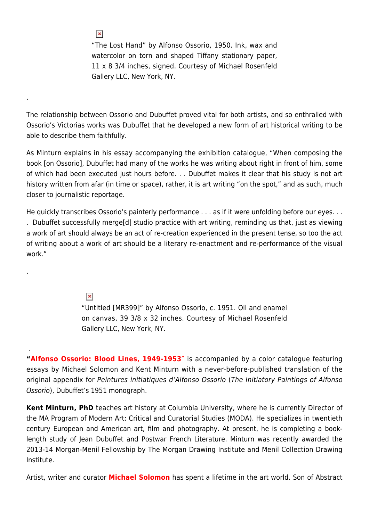"The Lost Hand" by Alfonso Ossorio, 1950. Ink, wax and watercolor on torn and shaped Tiffany stationary paper, 11 x 8 3/4 inches, signed. Courtesy of Michael Rosenfeld Gallery LLC, New York, NY.

The relationship between Ossorio and Dubuffet proved vital for both artists, and so enthralled with Ossorio's Victorias works was Dubuffet that he developed a new form of art historical writing to be able to describe them faithfully.

As Minturn explains in his essay accompanying the exhibition catalogue, "When composing the book [on Ossorio], Dubuffet had many of the works he was writing about right in front of him, some of which had been executed just hours before. . . Dubuffet makes it clear that his study is not art history written from afar (in time or space), rather, it is art writing "on the spot," and as such, much closer to journalistic reportage.

He quickly transcribes Ossorio's painterly performance . . . as if it were unfolding before our eyes. . .

. Dubuffet successfully merge[d] studio practice with art writing, reminding us that, just as viewing a work of art should always be an act of re-creation experienced in the present tense, so too the act of writing about a work of art should be a literary re-enactment and re-performance of the visual work."

 $\pmb{\times}$ 

 $\pmb{\times}$ 

.

.

.

"Untitled [MR399]" by Alfonso Ossorio, c. 1951. Oil and enamel on canvas, 39 3/8 x 32 inches. Courtesy of Michael Rosenfeld Gallery LLC, New York, NY.

**"Alfonso Ossorio: Blood Lines, 1949-1953″** is accompanied by a color catalogue featuring essays by Michael Solomon and Kent Minturn with a never-before-published translation of the original appendix for Peintures initiatiques d'Alfonso Ossorio (The Initiatory Paintings of Alfonso Ossorio), Dubuffet's 1951 monograph.

**Kent Minturn, PhD** teaches art history at Columbia University, where he is currently Director of the MA Program of Modern Art: Critical and Curatorial Studies (MODA). He specializes in twentieth century European and American art, film and photography. At present, he is completing a booklength study of Jean Dubuffet and Postwar French Literature. Minturn was recently awarded the 2013-14 Morgan-Menil Fellowship by The Morgan Drawing Institute and Menil Collection Drawing Institute.

Artist, writer and curator **Michael Solomon** has spent a lifetime in the art world. Son of Abstract